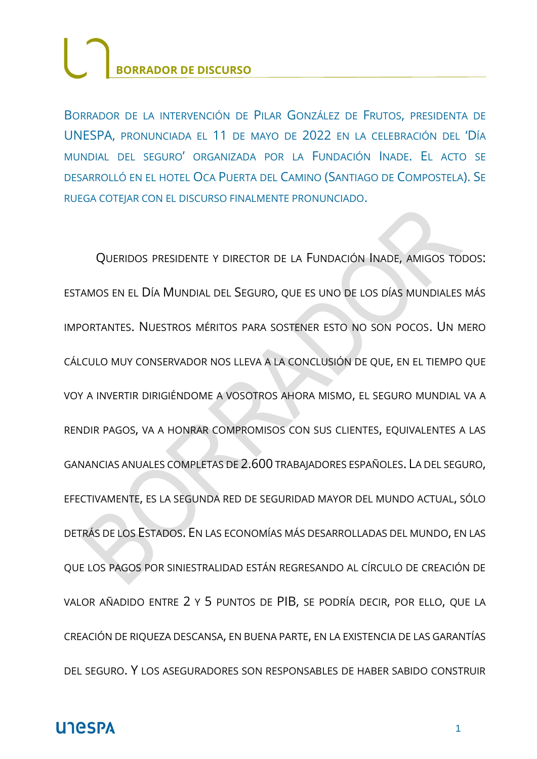BORRADOR DE LA INTERVENCIÓN DE PILAR GONZÁLEZ DE FRUTOS, PRESIDENTA DE UNESPA, PRONUNCIADA EL 11 DE MAYO DE 2022 EN LA CELEBRACIÓN DEL 'DÍA MUNDIAL DEL SEGURO' ORGANIZADA POR LA FUNDACIÓN INADE. EL ACTO SE DESARROLLÓ EN EL HOTEL OCA PUERTA DEL CAMINO (SANTIAGO DE COMPOSTELA). SE RUEGA COTEJAR CON EL DISCURSO FINALMENTE PRONUNCIADO.

QUERIDOS PRESIDENTE Y DIRECTOR DE LA FUNDACIÓN INADE, AMIGOS TODOS: ESTAMOS EN EL DÍA MUNDIAL DEL SEGURO, QUE ES UNO DE LOS DÍAS MUNDIALES MÁS IMPORTANTES. NUESTROS MÉRITOS PARA SOSTENER ESTO NO SON POCOS. UN MERO CÁLCULO MUY CONSERVADOR NOS LLEVA A LA CONCLUSIÓN DE QUE, EN EL TIEMPO QUE VOY A INVERTIR DIRIGIÉNDOME A VOSOTROS AHORA MISMO, EL SEGURO MUNDIAL VA A RENDIR PAGOS, VA A HONRAR COMPROMISOS CON SUS CLIENTES, EQUIVALENTES A LAS GANANCIAS ANUALES COMPLETAS DE 2.600 TRABAJADORES ESPAÑOLES. LA DEL SEGURO, EFECTIVAMENTE, ES LA SEGUNDA RED DE SEGURIDAD MAYOR DEL MUNDO ACTUAL, SÓLO DETRÁS DE LOS ESTADOS. EN LAS ECONOMÍAS MÁS DESARROLLADAS DEL MUNDO, EN LAS QUE LOS PAGOS POR SINIESTRALIDAD ESTÁN REGRESANDO AL CÍRCULO DE CREACIÓN DE VALOR AÑADIDO ENTRE 2 Y 5 PUNTOS DE PIB, SE PODRÍA DECIR, POR ELLO, QUE LA CREACIÓN DE RIQUEZA DESCANSA, EN BUENA PARTE, EN LA EXISTENCIA DE LAS GARANTÍAS DEL SEGURO. Y LOS ASEGURADORES SON RESPONSABLES DE HABER SABIDO CONSTRUIR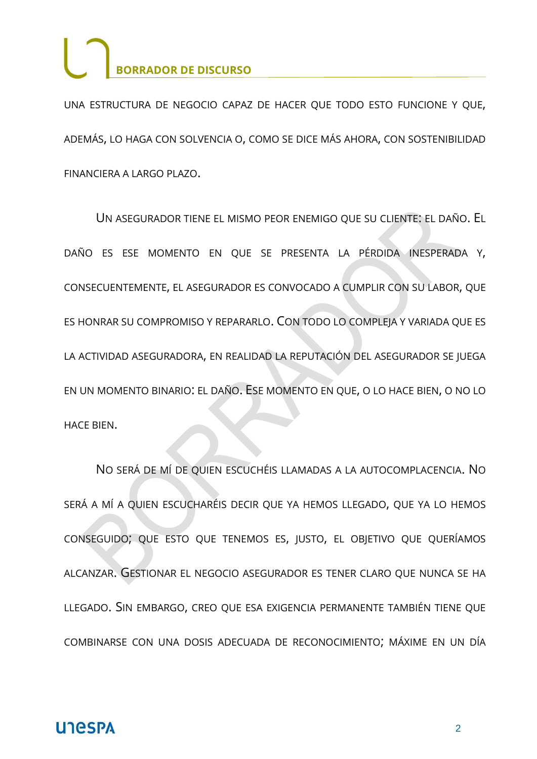UNA ESTRUCTURA DE NEGOCIO CAPAZ DE HACER QUE TODO ESTO FUNCIONE Y QUE, ADEMÁS, LO HAGA CON SOLVENCIA O, COMO SE DICE MÁS AHORA, CON SOSTENIBILIDAD FINANCIERA A LARGO PLAZO.

UN ASEGURADOR TIENE EL MISMO PEOR ENEMIGO QUE SU CLIENTE: EL DAÑO. EL DAÑO ES ESE MOMENTO EN QUE SE PRESENTA LA PÉRDIDA INESPERADA Y, CONSECUENTEMENTE, EL ASEGURADOR ES CONVOCADO A CUMPLIR CON SU LABOR, QUE ES HONRAR SU COMPROMISO Y REPARARLO. CON TODO LO COMPLEJA Y VARIADA QUE ES LA ACTIVIDAD ASEGURADORA, EN REALIDAD LA REPUTACIÓN DEL ASEGURADOR SE JUEGA EN UN MOMENTO BINARIO: EL DAÑO. ESE MOMENTO EN QUE, O LO HACE BIEN, O NO LO HACE BIEN.

NO SERÁ DE MÍ DE QUIEN ESCUCHÉIS LLAMADAS A LA AUTOCOMPLACENCIA. NO SERÁ A MÍ A QUIEN ESCUCHARÉIS DECIR QUE YA HEMOS LLEGADO, QUE YA LO HEMOS CONSEGUIDO; QUE ESTO QUE TENEMOS ES, JUSTO, EL OBJETIVO QUE QUERÍAMOS ALCANZAR. GESTIONAR EL NEGOCIO ASEGURADOR ES TENER CLARO QUE NUNCA SE HA LLEGADO. SIN EMBARGO, CREO QUE ESA EXIGENCIA PERMANENTE TAMBIÉN TIENE QUE COMBINARSE CON UNA DOSIS ADECUADA DE RECONOCIMIENTO; MÁXIME EN UN DÍA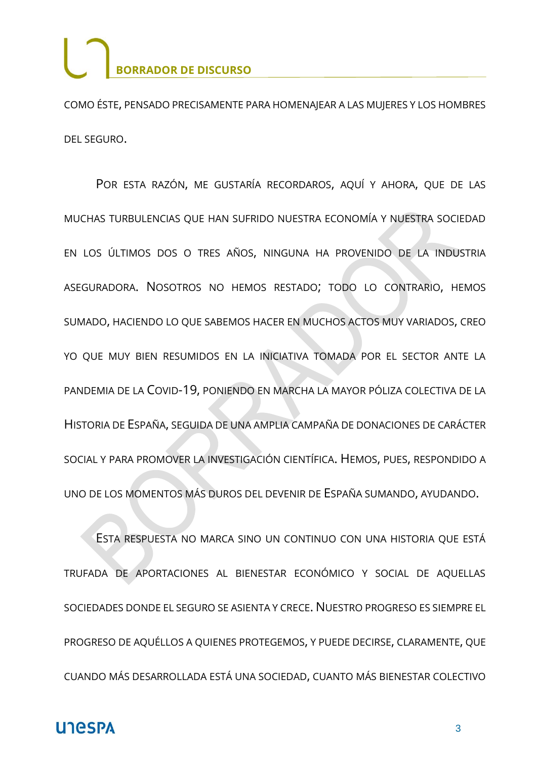COMO ÉSTE, PENSADO PRECISAMENTE PARA HOMENAJEAR A LAS MUJERES Y LOS HOMBRES DEL SEGURO.

POR ESTA RAZÓN, ME GUSTARÍA RECORDAROS, AQUÍ Y AHORA, QUE DE LAS MUCHAS TURBULENCIAS QUE HAN SUFRIDO NUESTRA ECONOMÍA Y NUESTRA SOCIEDAD EN LOS ÚLTIMOS DOS O TRES AÑOS, NINGUNA HA PROVENIDO DE LA INDUSTRIA ASEGURADORA. NOSOTROS NO HEMOS RESTADO; TODO LO CONTRARIO, HEMOS SUMADO, HACIENDO LO QUE SABEMOS HACER EN MUCHOS ACTOS MUY VARIADOS, CREO YO QUE MUY BIEN RESUMIDOS EN LA INICIATIVA TOMADA POR EL SECTOR ANTE LA PANDEMIA DE LA COVID-19, PONIENDO EN MARCHA LA MAYOR PÓLIZA COLECTIVA DE LA HISTORIA DE ESPAÑA, SEGUIDA DE UNA AMPLIA CAMPAÑA DE DONACIONES DE CARÁCTER SOCIAL Y PARA PROMOVER LA INVESTIGACIÓN CIENTÍFICA. HEMOS, PUES, RESPONDIDO A UNO DE LOS MOMENTOS MÁS DUROS DEL DEVENIR DE ESPAÑA SUMANDO, AYUDANDO.

ESTA RESPUESTA NO MARCA SINO UN CONTINUO CON UNA HISTORIA QUE ESTÁ TRUFADA DE APORTACIONES AL BIENESTAR ECONÓMICO Y SOCIAL DE AQUELLAS SOCIEDADES DONDE EL SEGURO SE ASIENTA Y CRECE. NUESTRO PROGRESO ES SIEMPRE EL PROGRESO DE AQUÉLLOS A QUIENES PROTEGEMOS, Y PUEDE DECIRSE, CLARAMENTE, QUE CUANDO MÁS DESARROLLADA ESTÁ UNA SOCIEDAD, CUANTO MÁS BIENESTAR COLECTIVO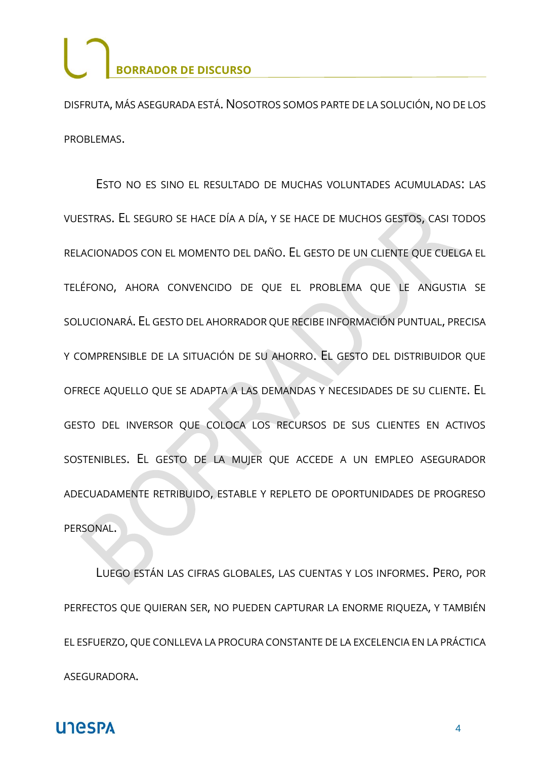DISFRUTA, MÁS ASEGURADA ESTÁ. NOSOTROS SOMOS PARTE DE LA SOLUCIÓN, NO DE LOS PROBLEMAS.

ESTO NO ES SINO EL RESULTADO DE MUCHAS VOLUNTADES ACUMULADAS: LAS VUESTRAS. EL SEGURO SE HACE DÍA A DÍA, Y SE HACE DE MUCHOS GESTOS, CASI TODOS RELACIONADOS CON EL MOMENTO DEL DAÑO. EL GESTO DE UN CLIENTE QUE CUELGA EL TELÉFONO, AHORA CONVENCIDO DE QUE EL PROBLEMA QUE LE ANGUSTIA SE SOLUCIONARÁ. EL GESTO DEL AHORRADOR QUE RECIBE INFORMACIÓN PUNTUAL, PRECISA Y COMPRENSIBLE DE LA SITUACIÓN DE SU AHORRO. EL GESTO DEL DISTRIBUIDOR QUE OFRECE AQUELLO QUE SE ADAPTA A LAS DEMANDAS Y NECESIDADES DE SU CLIENTE. EL GESTO DEL INVERSOR QUE COLOCA LOS RECURSOS DE SUS CLIENTES EN ACTIVOS SOSTENIBLES. EL GESTO DE LA MUJER QUE ACCEDE A UN EMPLEO ASEGURADOR ADECUADAMENTE RETRIBUIDO, ESTABLE Y REPLETO DE OPORTUNIDADES DE PROGRESO PERSONAL.

LUEGO ESTÁN LAS CIFRAS GLOBALES, LAS CUENTAS Y LOS INFORMES. PERO, POR PERFECTOS QUE QUIERAN SER, NO PUEDEN CAPTURAR LA ENORME RIQUEZA, Y TAMBIÉN EL ESFUERZO, QUE CONLLEVA LA PROCURA CONSTANTE DE LA EXCELENCIA EN LA PRÁCTICA ASEGURADORA.